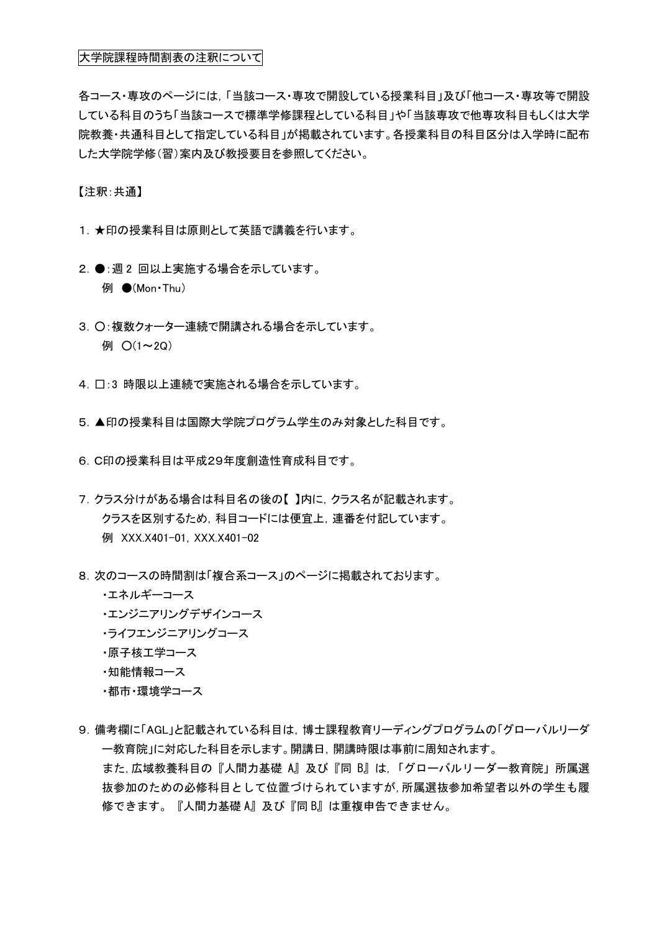## 大学院課程時間割表の注釈について

各コース・専攻のページには,「当該コース・専攻で開設している授業科目」及び「他コース・専攻等で開設 している科目のうち「当該コースで標準学修課程としている科目」や「当該専攻で他専攻科目もしくは大学 院教養・共通科目として指定している科目」が掲載されています。各授業科目の科目区分は入学時に配布 した大学院学修(習)案内及び教授要目を参照してください。

【注釈:共通】

- 1. ★印の授業科目は原則として英語で講義を行います。
- 2. ●: 週2 回以上実施する場合を示しています。 **例 ●(Mon**·Thu)
- 3. ○:複数クォーター連続で開講される場合を示しています。 例  $O(1 \sim 2Q)$
- 4. □:3 時限以上連続で実施される場合を示しています。
- 5.▲印の授業科目は国際大学院プログラム学生のみ対象とした科目です。
- 6.C印の授業科目は平成29年度創造性育成科目です。
- 7.クラス分けがある場合は科目名の後の【 】内に,クラス名が記載されます。 クラスを区別するため,科目コードには便宜上,連番を付記しています。 例 XXX.X401-01,XXX.X401-02
- 8.次のコースの時間割は「複合系コース」のページに掲載されております。
	- ・エネルギーコース
	- ・エンジニアリングデザインコース
	- ・ライフエンジニアリングコース
	- ・原子核工学コース
	- ・知能情報コース
	- ・都市・環境学コース
- 9.備考欄に「AGL」と記載されている科目は,博士課程教育リーディングプログラムの「グローバルリーダ ー教育院」に対応した科目を示します。開講日,開講時限は事前に周知されます。 また,広域教養科目の『人間力基礎 A』及び『同 B』は,「グローバルリーダー教育院」所属選 抜参加のための必修科目として位置づけられていますが,所属選抜参加希望者以外の学生も履 修できます。『人間力基礎 A』及び『同 B』は重複申告できません。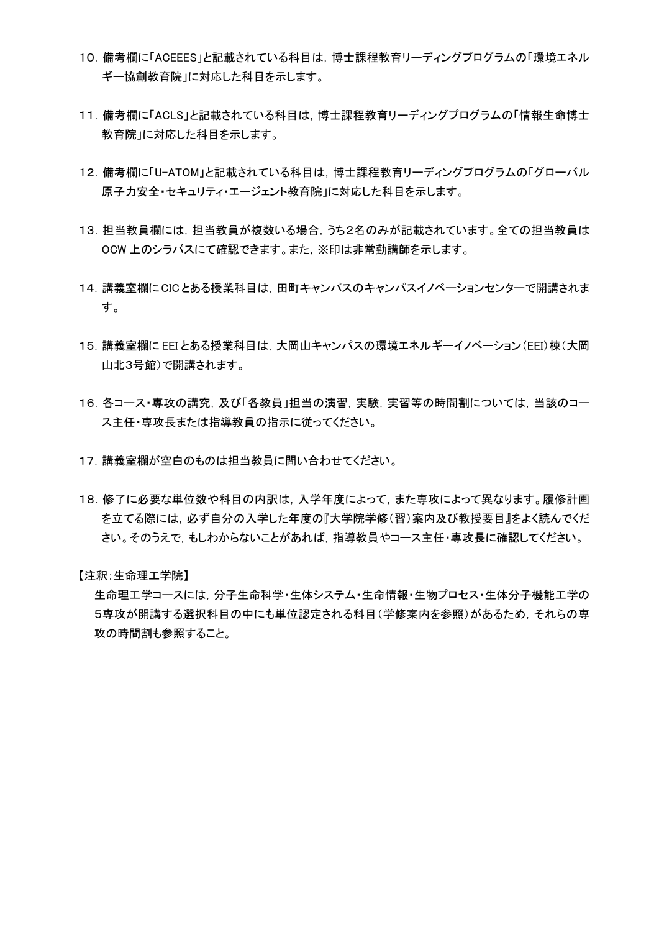- 10.備考欄に「ACEEES」と記載されている科目は,博士課程教育リーディングプログラムの「環境エネル ギー協創教育院」に対応した科目を示します。
- 11.備考欄に「ACLS」と記載されている科目は,博士課程教育リーディングプログラムの「情報生命博士 教育院」に対応した科目を示します。
- 12.備考欄に「U-ATOM」と記載されている科目は,博士課程教育リーディングプログラムの「グローバル 原子力安全・セキュリティ・エージェント教育院」に対応した科目を示します。
- 13. 担当教員欄には,担当教員が複数いる場合,うち2名のみが記載されています。全ての担当教員は OCW 上のシラバスにて確認できます。また,※印は非常勤講師を示します。
- 14.講義室欄にCICとある授業科目は,田町キャンパスのキャンパスイノベーションセンターで開講されま す。
- 15.講義室欄に EEI とある授業科目は,大岡山キャンパスの環境エネルギーイノベーション(EEI)棟(大岡 山北3号館)で開講されます。
- 16.各コース・専攻の講究,及び「各教員」担当の演習,実験,実習等の時間割については,当該のコー ス主任・専攻長または指導教員の指示に従ってください。
- 17.講義室欄が空白のものは担当教員に問い合わせてください。
- 18.修了に必要な単位数や科目の内訳は,入学年度によって,また専攻によって異なります。履修計画 を立てる際には,必ず自分の入学した年度の『大学院学修(習)案内及び教授要目』をよく読んでくだ さい。そのうえで,もしわからないことがあれば,指導教員やコース主任・専攻長に確認してください。

【注釈:生命理工学院】

生命理工学コースには,分子生命科学・生体システム・生命情報・生物プロセス・生体分子機能工学の 5専攻が開講する選択科目の中にも単位認定される科目(学修案内を参照)があるため,それらの専 攻の時間割も参照すること。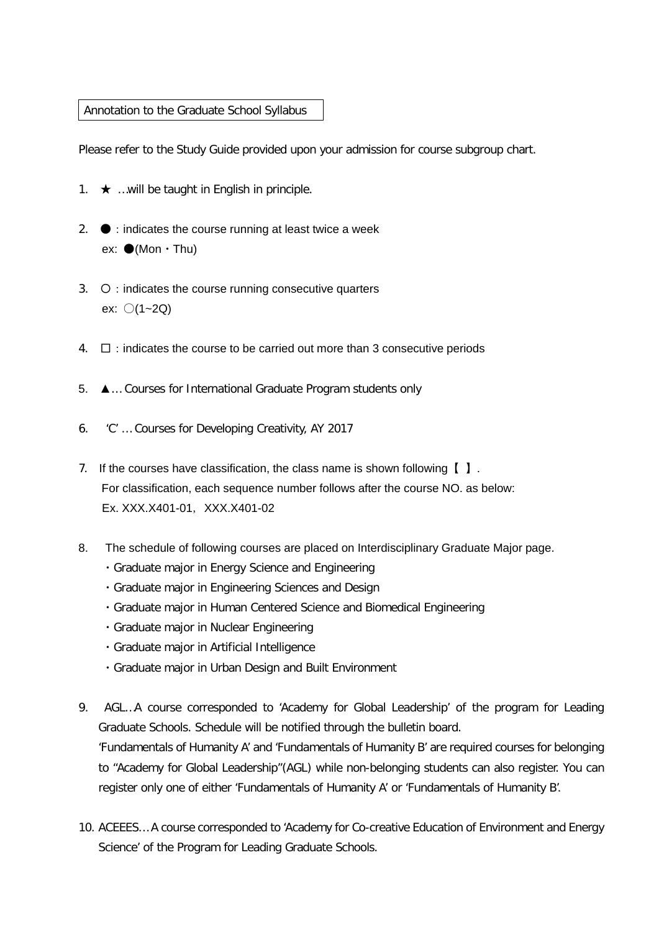## Annotation to the Graduate School Syllabus

Please refer to the Study Guide provided upon your admission for course subgroup chart.

- 1.  $\star$  …will be taught in English in principle.
- 2.  $\bullet$  : indicates the course running at least twice a week ex:  $\bullet$ (Mon  $\cdot$  Thu)
- 3.  $\circ$  : indicates the course running consecutive quarters ex: 〇(1~2Q)
- $4. \square$ : indicates the course to be carried out more than 3 consecutive periods
- 5. ▲… Courses for International Graduate Program students only
- 6. 'C' … Courses for Developing Creativity, AY 2017
- 7. If the courses have classification, the class name is shown following  $\begin{bmatrix} \end{bmatrix}$ . For classification, each sequence number follows after the course NO. as below: Ex. XXX.X401-01,XXX.X401-02
- 8. The schedule of following courses are placed on Interdisciplinary Graduate Major page.
	- ・Graduate major in Energy Science and Engineering
	- ・Graduate major in Engineering Sciences and Design
	- ・Graduate major in Human Centered Science and Biomedical Engineering
	- ・Graduate major in Nuclear Engineering
	- ・Graduate major in Artificial Intelligence
	- ・Graduate major in Urban Design and Built Environment
- 9. AGL…A course corresponded to 'Academy for Global Leadership' of the program for Leading Graduate Schools. Schedule will be notified through the bulletin board. 'Fundamentals of Humanity A' and 'Fundamentals of Humanity B' are required courses for belonging to "Academy for Global Leadership"(AGL) while non-belonging students can also register. You can register only one of either 'Fundamentals of Humanity A' or 'Fundamentals of Humanity B'.
- 10. ACEEES… A course corresponded to 'Academy for Co-creative Education of Environment and Energy Science' of the Program for Leading Graduate Schools.